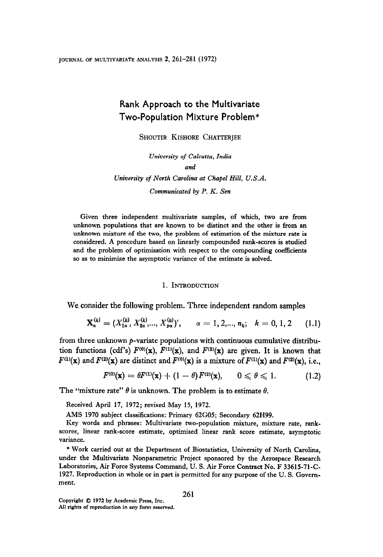# Rank Approach to the Multivariate Two-Population Mixture Problem\*

SHOUTIR KISHORE CHATTERJEE

Uniwersity of Calcutta, India

### and

University of North Carolina at Chapel Hill, U.S.A.

Communicated by P. K. Sen

Given three independent multivariate samples, of which, two are from unknown populations that are known to be distinct and the other is from an unknown mixture of the two, the problem of estimation of the mixture rate is considered. A procedure based on linearly compounded rank-scores is studied and the problem of optimisation with respect to the compounding coefficients so as to minimize the asymptotic variance of the estimate is solved.

#### 1. INTRODUCTION

We consider the following problem. Three independent random samples

$$
\mathbf{X}_{\alpha}^{(k)} = (X_{1\alpha}^{(k)}, X_{2\alpha}^{(k)}, ..., X_{p\alpha}^{(k)})', \qquad \alpha = 1, 2, ..., n_k; \quad k = 0, 1, 2 \quad (1.1)
$$

from three unknown p-variate populations with continuous cumulative distribution functions (cdf's)  $F^{(0)}(\mathbf{x})$ ,  $F^{(1)}(\mathbf{x})$ , and  $F^{(2)}(\mathbf{x})$  are given. It is known that  $F^{(1)}(\mathbf{x})$  and  $F^{(2)}(\mathbf{x})$  are distinct and  $F^{(0)}(\mathbf{x})$  is a mixture of  $F^{(1)}(\mathbf{x})$  and  $F^{(2)}(\mathbf{x})$ , i.e.,

$$
F^{(0)}(\mathbf{x}) = \theta F^{(1)}(\mathbf{x}) + (1-\theta) F^{(2)}(\mathbf{x}), \qquad 0 \leq \theta \leq 1. \tag{1.2}
$$

The "mixture rate"  $\theta$  is unknown. The problem is to estimate  $\theta$ .

 $\mathcal{L}$  1970 subject classifications: Primary 62G05; Secondary 62G05; Secondary 62G05; Secondary 62H99.

AMS 1970 subject classifications: Primary 62G05; Secondary 62H99.

Key words and phrases: Multivariate two-population mixture, mixture rate, rankscores, linear rank-score estimate, optimised linear rank score estimate, asymptotic  $W_{\rm L}$  at the Department of Biostatistics, University of  $W_{\rm L}$ 

\* Work carried out at the Department of Biostatistics, University of North Carolina, under the Multivariate Nonparametric Project sponsored by the Aerospace Research Laboratories, Air Force Systems Command, U. S. Air Force Contract No. F 33615-71-C-1927. Reproduction in whole or in part is permitted for any purpose of the U.S. Government.

Copyright  $\oslash$  1972 by Academic Press. Inc. All rights of reproduction in any form reserved.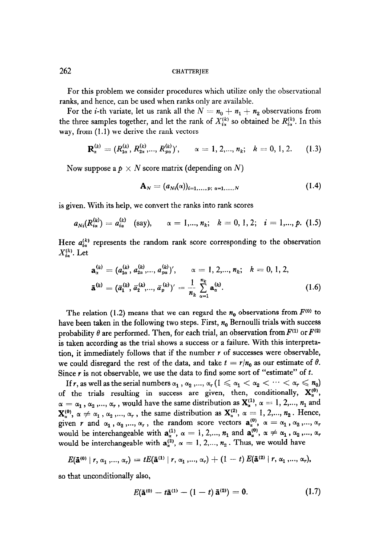For this problem we consider procedures which utilize only the observational ranks, and hence, can be used when ranks only are available.

For the *i*-th variate, let us rank all the  $N = n_0 + n_1 + n_2$  observations from the three samples together, and let the rank of  $X_{i\alpha}^{(k)}$  so obtained be  $R_{i\alpha}^{(k)}$ . In this way, from (1.1) we derive the rank vectors

$$
\mathbf{R}_{\alpha}^{(k)} = (R_{1\alpha}^{(k)}, R_{2\alpha}^{(k)}, ..., R_{p\alpha}^{(k)})', \qquad \alpha = 1, 2, ..., n_k; \quad k = 0, 1, 2. \tag{1.3}
$$

Now suppose a  $p \times N$  score matrix (depending on N)

$$
\mathbf{A}_N = (a_{Ni}(\alpha))_{i=1,...,p;\;\alpha=1,...,N} \tag{1.4}
$$

is given. With its help, we convert the ranks into rank scores

$$
a_{Ni}(R_{i\alpha}^{(k)}) = a_{i\alpha}^{(k)} \quad \text{(say)}, \qquad \alpha = 1,..., n_k; \quad k = 0, 1, 2; \quad i = 1,..., p. \tag{1.5}
$$

Here  $a_{i\sigma}^{(k)}$  represents the random rank score corresponding to the observation  $X_{i\alpha}^{(k)}$ . Let

$$
\mathbf{a}_{\alpha}^{(k)} = (a_{1\alpha}^{(k)}, a_{2\alpha}^{(k)}, ..., a_{p\alpha}^{(k)})', \qquad \alpha = 1, 2, ..., n_k; \quad k = 0, 1, 2,
$$
  

$$
\mathbf{\tilde{a}}^{(k)} = (\bar{a}_1^{(k)}, \bar{a}_2^{(k)}, ..., \bar{a}_p^{(k)})' = \frac{1}{n_k} \sum_{\alpha=1}^{n_k} \mathbf{a}_{\alpha}^{(k)}.
$$
 (1.6)

The relation (1.2) means that we can regard the  $n_0$  observations from  $F^{(0)}$  to have been taken in the following two steps. First,  $n_0$  Bernoulli trials with success probability  $\theta$  are performed. Then, for each trial, an observation from  $F^{(1)}$  or  $F^{(2)}$ is taken according as the trial shows a success or a failure. With this interpretato taken according as the that shows that successes a a successe when the succeptum tion, it immediately follows that if the number r of successes were observable, we could disregard the rest of the data, and take  $t = r/n_0$  as our estimate of  $\theta$ . Since Y is not observe the rest of the data, and take  $\epsilon$ ". The some south some south of the south of the south of the contract of the south of the south of the south of the south of the south of the south of the south of If  $\alpha$ , is not observable, we use the data to find some series contract of  $\alpha$ .

If r, as well as the serial numbers  $\alpha_1$  ,  $\alpha_2$  ,...,  $\alpha_r$  ( $1 \leq \alpha_1 < \alpha_2 < \cdots < \alpha_r \leq n_0$ ) of the trials resulting in success are given, then, conditionally,  $X_a^{(0)}$ ,  $\alpha = \alpha_1$ ,  $\alpha_2$ ,...,  $\alpha_r$ , would have the same distribution as  $\mathbf{X}_{\alpha}^{(1)}$ ,  $\alpha = 1, 2, ..., n_1$  and  $\mathbf{X}_{\alpha}^{(0)}, \alpha \neq \alpha_1, \alpha_2, ..., \alpha_r$ , the same distribution as  $\mathbf{X}_{\alpha}^{(2)}, \alpha = 1, 2, ..., n_2$ . Hence, given r and  $\alpha_1$ ,  $\alpha_2$ ,...,  $\alpha_r$ , the random score vectors  $a_\alpha^{(0)}$ ,  $\alpha = \alpha_1$ ,  $\alpha_2$ ,...,  $\alpha_r$ would be interchangeable with  $\mathbf{a}_{\alpha}^{(1)}$ ,  $\alpha = 1, 2,..., n_1$  and  $\mathbf{a}_{\alpha}^{(0)}$ ,  $\alpha \neq \alpha_1$ ,  $\alpha_2$ ,...,  $\alpha_r$  would be interchangeable with  $\mathbf{a}_{\alpha}^{(2)}$ ,  $\alpha = 1, 2,..., n_2$ . Thus, we would have

$$
E(\mathbf{\tilde{a}}^{(0)} | r, \alpha_1, ..., \alpha_r) = tE(\mathbf{\tilde{a}}^{(1)} | r, \alpha_1, ..., \alpha_r) + (1-t) E(\mathbf{\tilde{a}}^{(2)} | r, \alpha_1, ..., \alpha_r),
$$

so that unconditionally also,

$$
E(\mathbf{\tilde{a}}^{(0)} - t\mathbf{\tilde{a}}^{(1)} - (1-t)\mathbf{\tilde{a}}^{(2)}) = 0.
$$
 (1.7)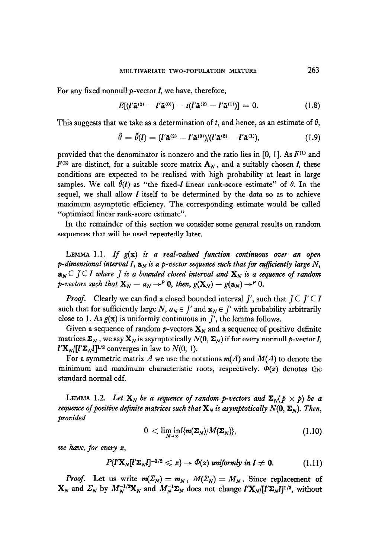For any fixed nonnull  $p$ -vector  $I$ , we have, therefore,

$$
E[(l'\mathbf{\tilde{a}}^{(2)}-l'\mathbf{\tilde{a}}^{(0)})-t(l'\mathbf{\tilde{a}}^{(2)}-l'\mathbf{\tilde{a}}^{(1)})]=0.
$$
 (1.8)

This suggests that we take as a determination of t, and hence, as an estimate of  $\theta$ ,

$$
\tilde{\theta} = \tilde{\theta}(l) = (l'\tilde{a}^{(2)} - l'\tilde{a}^{(0)})/(l'\tilde{a}^{(2)} - l'\tilde{a}^{(1)}),
$$
\n(1.9)

provided that the denominator is nonzero and the ratio lies in [0, 1]. As  $F^{(1)}$  and  $F^{(2)}$  are distinct, for a suitable score matrix  $\mathbf{A}_N$ , and a suitably chosen *I*, these conditions are expected to be realised with high probability at least in large samples. We call  $\hat{\theta}(\mathbf{l})$  as "the fixed-*I* linear rank-score estimate" of  $\theta$ . In the sequel, we shall allow  *itself to be determined by the data so as to achieve* maximum asymptotic efficiency. The corresponding estimate would be called "optimised linear rank-score estimate".

In the remainder of this section we consider some general results on random sequences that will be used repeatedly later.

LEMMA 1.1. If  $g(x)$  is a real-valued function continuous over an open p-dimensional interval I,  $a_N$  is a p-vector sequence such that for sufficiently large N,  $a_N \subset J \subset I$  where J is a bounded closed interval and  $X_N$  is a sequence of random p-vectors such that  $X_N - a_N \rightarrow^P 0$ , then,  $g(X_N) - g(a_N) \rightarrow^P 0$ .

*Proof.* Clearly we can find a closed bounded interval  $J'$ , such that  $J \subset J' \subset I$ such that for sufficiently large N,  $a_N \in J'$  and  $x_N \in J'$  with probability arbitrarily close to 1. As  $g(x)$  is uniformly continuous in  $J'$ , the lemma follows.

Given a sequence of random p-vectors  $\mathbf{X}_N$  and a sequence of positive definite matrices  $\Sigma_N$ , we say  $\mathbf{X}_N$  is asymptotically  $N(0, \Sigma_N)$  if for every nonnull p-vector *I*,  $\mathbf{I}'\mathbf{X}_N/[\mathbf{I}'\mathbf{\Sigma}_N\mathbf{I}]^{1/2}$  converges in law to  $N(0, 1)$ .

For a symmetric matrix A we use the notations  $m(A)$  and  $M(A)$  to denote the minimum and maximum characteristic roots, respectively.  $\Phi(z)$  denotes the standard normal cdf.

LEMMA 1.2. Let  $X_N$  be a sequence of random p-vectors and  $\Sigma_N(p \times p)$  be a sequence of positive definite matrices such that  $X_N$  is asymptotically  $N(0, \Sigma_N)$ . Then, provided

$$
0 < \liminf_{N} \{m(\Sigma_N)/M(\Sigma_N)\},\tag{1.10}
$$

we have, for every x,

$$
P\{l'\mathbf{X}_N[l'\mathbf{\Sigma}_N l]^{-1/2}\leqslant z\}\to \Phi(z) \text{ uniformly in } l\neq 0. \tag{1.11}
$$

*Proof.* Let us write  $m(\Sigma_N) = m_N$ ,  $M(\Sigma_N) = M_N$ . Since replacement of  $\mathbf{X}_N$  and  $\Sigma_N$  by  $M_N^{-1/2}\mathbf{X}_N$  and  $M_N^{-1}\mathbf{\Sigma}_N$  does not change  $\mathbf{I}'\mathbf{X}_N/[\mathbf{I}'\mathbf{\Sigma}_N\mathbf{I}]^{1/2}$ , without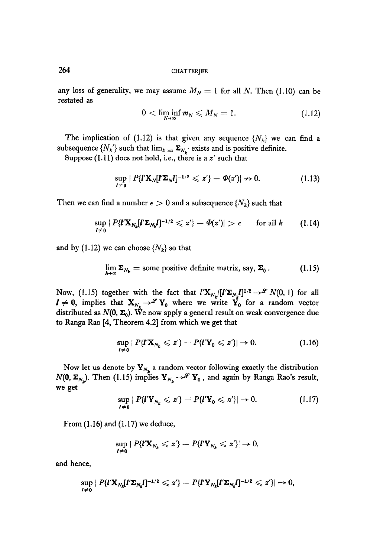any loss of generality, we may assume  $M_N = 1$  for all N. Then (1.10) can be restated as

$$
0 < \liminf_{N \to \infty} m_N \leqslant M_N = 1. \tag{1.12}
$$

The implication of (1.12) is that given any sequence  $\{N_k\}$  we can find a subsequence  $\{N_k'\}$  such that  $\lim_{k\to\infty} \Sigma_{N_k'}$  exists and is positive definite.

Suppose  $(1.11)$  does not hold, i.e., there is a  $z'$  such that

$$
\sup_{l\neq 0} |P\{l'\mathbf{X}_N[l'\mathbf{\Sigma}_N l]^{-1/2} \leqslant z'\} - \Phi(z')| \nrightarrow 0. \tag{1.13}
$$

Then we can find a number  $\epsilon > 0$  and a subsequence  $\{N_k\}$  such that

$$
\sup_{l\neq 0} |P\{l'\mathbf{X}_{N_k}[l'\mathbf{\Sigma}_{N_k}l]^{-1/2}\leqslant z'\}-\Phi(z')|>\epsilon \quad \text{ for all }k \qquad (1.14)
$$

and by (1.12) we can choose  $\{N_k\}$  so that

$$
\lim_{k\to\infty}\Sigma_{N_k}=\text{some positive definite matrix, say, }\Sigma_0\,.
$$
 (1.15)

Now, (1.15) together with the fact that  $l'X_{N_k}/[l'\Sigma_{N_k}l]^{1/2} \rightarrow \mathscr{L} N(0, 1)$  for all  $I \neq 0$ , implies that  $X_{N_k} \rightarrow^{\mathscr{L}} Y_0$  where we write  $Y_0$  for a random vector distributed as  $N(0, \Sigma_0)$ . We now apply a general result on weak convergence due to Ranga Rao [4, Theorem 4.2] from which we get that

$$
\sup_{l\neq 0} |P\{l'\mathbf{X}_{N_k} \leqslant z'\} - P\{l'\mathbf{Y}_0 \leqslant z'\}| \to 0. \tag{1.16}
$$

Now let us denote by  $Y_{N_k}$  a random vector following exactly the distribution  $N(0, \Sigma_{N_k})$ . Then (1.15) implies  $Y_{N_k} \to \mathscr{L} Y_0$ , and again by Ranga Rao's result, we get

$$
\sup_{l\neq 0} |P\{l'\mathbf{Y}_{N_k} \leqslant z'\} - P\{l'\mathbf{Y}_0 \leqslant z'\}| \to 0. \tag{1.17}
$$

From  $(1.16)$  and  $(1.17)$  we deduce,

$$
\sup_{l\neq 0} |P\{l'\mathbf{X}_{N_k}\leqslant z'\}-P\{l'\mathbf{Y}_{N_k}\leqslant z'\}|\to 0,
$$

and hence,

$$
\sup_{l\neq 0} |P\{l'\mathbf{X}_{N_k}[l'\mathbf{\Sigma}_{N_k}l]^{-1/2}\leqslant z'\}-P\{l'\mathbf{Y}_{N_k}[l'\mathbf{\Sigma}_{N_k}l]^{-1/2}\leqslant z'\}|\rightarrow 0,
$$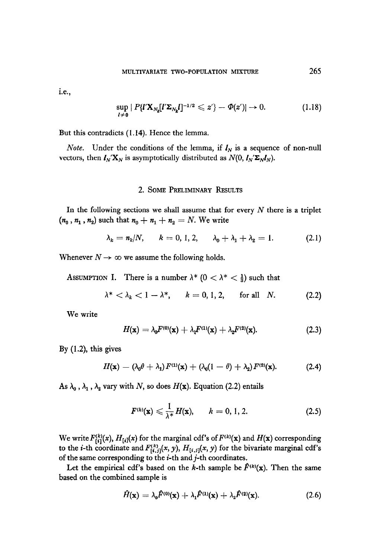I.e.,

$$
\sup_{l\neq 0} |P\{l'\mathbf{X}_{N_k}[l'\mathbf{\Sigma}_{N_k}l]^{-1/2} \leqslant z'\}-\varPhi(z')| \to 0. \tag{1.18}
$$

But this contradicts (1.14). Hence the lemma.

*Note.* Under the conditions of the lemma, if  $I_N$  is a sequence of non-null vectors, then  $I_N' \mathbf{X}_N$  is asymptotically distributed as  $N(0, I_N' \mathbf{\Sigma}_N I_N)$ .

### 2. SOME PRELIMINARY RESULTS

In the following sections we shall assume that for every  $N$  there is a triplet  $(n_0, n_1, n_2)$  such that  $n_0 + n_1 + n_2 = N$ . We write

$$
\lambda_k = n_k/N
$$
,  $k = 0, 1, 2$ ,  $\lambda_0 + \lambda_1 + \lambda_2 = 1$ . (2.1)

Whenever  $N \rightarrow \infty$  we assume the following holds.

ASSUMPTION I. There is a number  $\lambda^*$  ( $0 < \lambda^* < \frac{1}{3}$ ) such that

$$
\lambda^* < \lambda_k < 1 - \lambda^*, \qquad k = 0, 1, 2, \qquad \text{for all} \quad N. \tag{2.2}
$$

We write

$$
H(\mathbf{x}) = \lambda_0 F^{(0)}(\mathbf{x}) + \lambda_1 F^{(1)}(\mathbf{x}) + \lambda_2 F^{(2)}(\mathbf{x}).
$$
 (2.3)

By (1.2), this gives

$$
H(\mathbf{x}) = (\lambda_0 \theta + \lambda_1) F^{(1)}(\mathbf{x}) + (\lambda_0 (1 - \theta) + \lambda_2) F^{(2)}(\mathbf{x}). \tag{2.4}
$$

As  $\lambda_0$ ,  $\lambda_1$ ,  $\lambda_2$  vary with N, so does H(x). Equation (2.2) entails

$$
F^{(k)}(\mathbf{x}) \leqslant \frac{1}{\lambda^*} H(\mathbf{x}), \qquad k = 0, 1, 2. \tag{2.5}
$$

 $W_{\rm eff}$  for the marginal corresponding  $\sim$ We write  $F_{[i]}^{(x)}(x)$ ,  $H_{[i]}(x)$  for the marginal cdf's of  $F^{(x)}(x)$  and  $H(x)$  corresponding to the *i*-th coordinate and  $F_{[i,j]}^{(k)}(x, y)$ ,  $H_{[i,j]}(x, y)$  for the bivariate marginal cdf's of the same corresponding to the  $i$ -th and  $j$ -th coordinates.

Let the empirical cdf's based on the *k*-th sample be  $\hat{F}^{(k)}(\mathbf{x})$ . Then the same based on the combined sample is

$$
\hat{H}(\mathbf{x}) = \lambda_0 \hat{F}^{(0)}(\mathbf{x}) + \lambda_1 \hat{F}^{(1)}(\mathbf{x}) + \lambda_2 \hat{F}^{(2)}(\mathbf{x}). \tag{2.6}
$$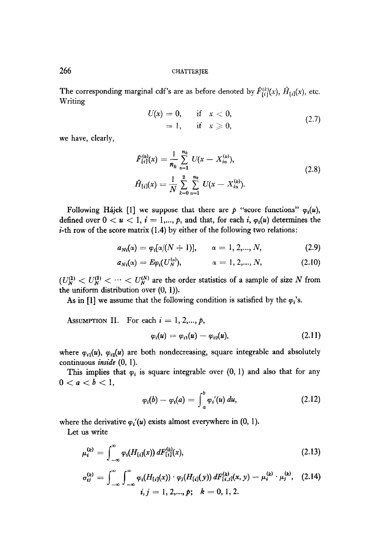The corresponding marginal cdf's are as before denoted by  $\hat{F}_{\{i\}}^{(k)}(x)$ ,  $\hat{H}_{\{i\}}(x)$ , etc. Writing

U(x) = 0, if x < 0, = 1, if x > 0, (2.7)

we have, clearly,

$$
\hat{F}_{\{i\}}^{(k)}(x) = \frac{1}{n_k} \sum_{\alpha=1}^{n_k} U(x - X_{i\alpha}^{(k)}),
$$
\n
$$
\hat{H}_{\{i\}}(x) = \frac{1}{N} \sum_{k=0}^{2} \sum_{\alpha=1}^{n_k} U(x - X_{i\alpha}^{(k)}).
$$
\n(2.8)

Following Hajek [1] we suppose that there are p "score functions"  $\varphi_i(u)$ , defined over  $0 < u < 1$ ,  $i = 1,..., p$ , and that, for each i,  $\varphi_i(u)$  determines the  $i$ -th row of the score matrix (1.4) by either of the following two relations:

$$
a_{Ni}(\alpha) = \varphi_i[\alpha/(N+1)], \qquad \alpha = 1, 2,..., N,
$$
 (2.9)

$$
a_{Ni}(\alpha) = E \varphi_i(U_N^{(\alpha)}), \qquad \alpha = 1, 2, ..., N,
$$
 (2.10)

 $\mathcal{L}(\mathcal{L}(\mathcal{U}))$  are  $\mathcal{L}(\mathcal{U})$  and the order statistics of a sample of size N from  $t_N = N$  is uniform distribution over  $(0, 1)$ . the uniform distribution over (0, 1)).<br>As in [1] we assume that the following condition is satisfied by the  $\varphi_i$ 's.

ASSUMPTION II. For each  $i = 1, 2, \dots, p$ ,

$$
\varphi_i(u) = \varphi_{i1}(u) - \varphi_{i2}(u), \qquad (2.1)
$$

where  $\mathcal{L}(\mathcal{S})$ ,  $\mathcal{L}(\mathcal{S})$  are both nondecreasing, square integrable and absolutely where  $\varphi_{i1}(u)$ ,  $\varphi_{i2}(u)$  are  $T_{\text{min}}$  is state  $(0, 1)$ .

 $\sim$   $\frac{1}{2}$ 

$$
\varphi_i(b)-\varphi_i(a)=\int_a^b\varphi_i'(u)\,du,\qquad \qquad (2.12)
$$

where the derivative vi'(u) exists almost everywhere in (0, 1). lete the deli

$$
\mu_i^{(k)} = \int_{-\infty}^{\infty} \varphi_i(H_{[i]}(x)) \, dF_{[i]}^{(k)}(x), \tag{2.13}
$$

$$
\sigma_{ij}^{(k)} = \int_{-\infty}^{\infty} \int_{-\infty}^{\infty} \varphi_i (H_{[i]}(x)) \cdot \varphi_j (H_{[i]}(y)) \, dF_{[i,j]}^{(k)}(x, y) - \mu_i^{(k)} \cdot \mu_j^{(k)}, \quad (2.14)
$$
  

$$
i, j = 1, 2, ..., p; \quad k = 0, 1, 2.
$$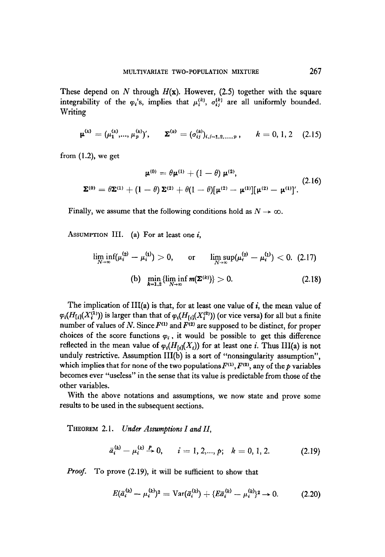These depend on N through  $H(x)$ . However, (2.5) together with the square integrability of the  $\varphi_i$ 's, implies that  $\mu_i^{(k)}$ ,  $\sigma_i^{(k)}$  are all uniformly bounded. Writing

$$
\boldsymbol{\mu}^{(k)} = (\mu_1^{(k)}, ..., \mu_p^{(k)})', \qquad \boldsymbol{\Sigma}^{(k)} = (\sigma_{ij}^{(k)})_{i,j=1,2,...,p}, \qquad k = 0, 1, 2 \quad (2.15)
$$

from  $(1.2)$ , we get

$$
\mu^{(0)} = \theta \mu^{(1)} + (1 - \theta) \mu^{(2)},
$$
  

$$
\Sigma^{(0)} = \theta \Sigma^{(1)} + (1 - \theta) \Sigma^{(2)} + \theta (1 - \theta) [\mu^{(2)} - \mu^{(1)}] [\mu^{(2)} - \mu^{(1)}]'. \tag{2.16}
$$

Finally, we assume that the following conditions hold as  $N \to \infty$ .

ASSUMPTION III. (a) For at least one  $i$ ,

$$
\liminf_{N \to \infty} (\mu_i^{(2)} - \mu_i^{(1)}) > 0, \quad \text{or} \quad \limsup_{N \to \infty} (\mu_i^{(2)} - \mu_i^{(1)}) < 0. \tag{2.17}
$$
\n
$$
\text{(b)} \quad \min_{k=1,2} \{ \liminf_{N \to \infty} m(\mathbf{\Sigma}^{(k)}) \} > 0. \tag{2.18}
$$

The implication of III(a) is that, for at least one value of  $i$ , the mean value of  $\varphi_i(H_{[i]}(X_i^{(1)}))$  is larger than that of  $\varphi_i(H_{[i]}(X_i^{(2)}))$  (or vice versa) for all but a finite number of values of N. Since  $F^{(1)}$  and  $F^{(2)}$  are supposed to be distinct, for proper choices of the score functions  $\varphi_i$ , it would be possible to get this difference  $\mathbf{v}_i$  for a mean value of  $\mathbf{v}_i$  for a set of  $\mathbf{v}_i$  or an i. Thus III (a) i. Thus III (a) i. Thus III (a) i. Thus III (a) i. Thus III (a) i. Thus III (a) i. Thus III (a) i. Thus III (a) i. Thus III (a) i. Thus is increased in the mean value of  $\varphi_i(x_{ij})$  for at least one  $i$ . Thus  $\pi_1(a)$  is no unduly restrictive. Assumption III( $\overline{b}$ ) is a sort of "nonsingularity assumption", which implies that for none of the two populations  $F^{(1)}$ ,  $F^{(2)}$ , any of the p variables becomes ever "useless" in the sense that its value is predictable from those of the other variables. With the above notations and assumptions, we now state and prove some

with the above notations and assumption

THEOREM 2.1. Under Assumptions I and II,

$$
\bar{a}_i^{(k)} - \mu_i^{(k)} \stackrel{P}{\to} 0, \qquad i = 1, 2, ..., p; \quad k = 0, 1, 2.
$$
 (2.19)

$$
E(\bar{a}_i^{(k)} - \mu_i^{(k)})^2 = \text{Var}(\bar{a}_i^{(k)}) + \{E\bar{a}_i^{(k)} - \mu_i^{(k)}\}^2 \to 0. \tag{2.20}
$$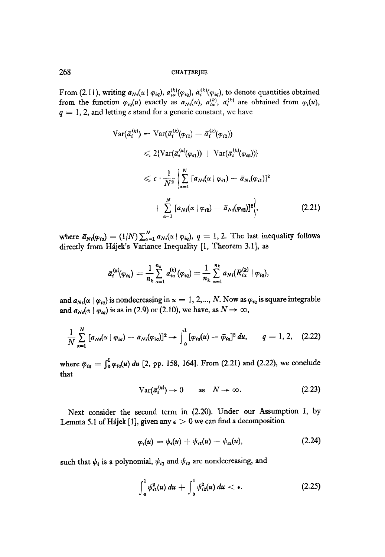From (2.11), writing  $a_{Ni}(\alpha | \varphi_{iq})$ ,  $a_{ia}^{(k)}(\varphi_{iq})$ ,  $\bar{a}_i^{(k)}(\varphi_{iq})$ , to denote quantities obtained from the function  $\varphi_{iq}(u)$  exactly as  $a_{Ni}(\alpha)$ ,  $a_{is}^{(k)}$ ,  $\overline{a}_{i}^{(k)}$  are obtained from  $\varphi_{i}(u)$ ,  $q = 1, 2$ , and letting c stand for a generic constant, we have

$$
\operatorname{Var}(\bar{a}_{i}^{(k)}) = \operatorname{Var}(\bar{a}_{i}^{(k)}(\varphi_{i1}) - \bar{a}_{i}^{(k)}(\varphi_{i2}))
$$
\n
$$
\leq 2\{\operatorname{Var}(\bar{a}_{i}^{(k)}(\varphi_{i1})) + \operatorname{Var}(\bar{a}_{i}^{(k)}(\varphi_{i2}))\}
$$
\n
$$
\leq c \cdot \frac{1}{N^{2}} \left\{ \sum_{\alpha=1}^{N} [a_{Ni}(\alpha \mid \varphi_{i1}) - \bar{a}_{Ni}(\varphi_{i1})]^{2} + \sum_{\alpha=1}^{N} [a_{Ni}(\alpha \mid \varphi_{i2}) - \bar{a}_{Ni}(\varphi_{i2})]^{2} \right\},\tag{2.21}
$$

where  $\bar{a}_{Ni}(\varphi_{iq}) = (1/N) \sum_{\alpha=1}^{N} a_{Ni}(\alpha \mid \varphi_{iq}), q = 1, 2$ . The last inequality follows directly from Hájek's Variance Inequality [1, Theorem 3.1], as

$$
\bar{a}_{i}^{(k)}(\varphi_{iq}) = \frac{1}{n_{k}}\sum_{\alpha=1}^{n_{k}} a_{i\alpha}^{(k)}(\varphi_{iq}) = \frac{1}{n_{k}}\sum_{\alpha=1}^{n_{k}} a_{Ni}(R_{i\alpha}^{(k)} | \varphi_{iq}),
$$

and  $a_{Ni}(\alpha \mid \varphi_{iq})$  is nondecreasing in  $\alpha=1, 2,..., N$ . Now as  $\varphi_{iq}$  is square integrable and  $a_{Ni}(\alpha \mid \varphi_{io})$  is as in (2.9) or (2.10), we have, as  $N \to \infty$ ,

$$
\frac{1}{N} \sum_{\alpha=1}^{N} [a_{Ni}(\alpha \mid \varphi_{iq}) - \bar{a}_{Ni}(\varphi_{iq})]^2 \rightarrow \int_{0}^{1} [\varphi_{iq}(u) - \bar{\varphi}_{iq}]^2 du, \qquad q = 1, 2, \quad (2.22)
$$

where  $\bar{\varphi}_{iq} = \int_0^1 \varphi_{iq}(u) du$  [2, pp. 158, 164]. From (2.21) and (2.22), we conclude that

$$
Var(\bar{a}_i^{(k)}) \to 0 \quad \text{as} \quad N \to \infty. \tag{2.23}
$$

Next consider the second term in (2.20). Under our Assumption I, by Next consider the second term in  $(z, z_0)$ , onder our  $\lambda$ ssum

$$
\varphi_i(u) = \psi_i(u) + \psi_{i1}(u) - \psi_{i2}(u), \qquad (2.24)
$$

such that I/J $\sim$  is a polynomial, I, $\sim$  and  $\sim$  and  $\sim$  nondecreasing, and  $\sim$ 

$$
\int_0^1 \psi_{i1}^2(u) \, du \, + \, \int_0^1 \psi_{i2}^2(u) \, du \, < \, \epsilon. \tag{2.25}
$$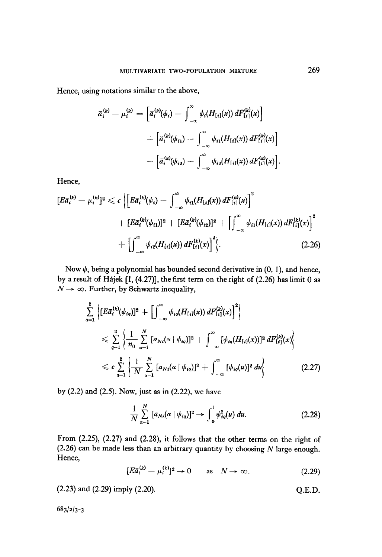Hence, using notations similar to the above,

$$
\begin{aligned}\n\bar{a}_i^{(k)} - \mu_i^{(k)} &= \left[ \bar{a}_i^{(k)}(\psi_i) - \int_{-\infty}^{\infty} \psi_i(H_{[i]}(x)) \, dF_{[i]}^{(k)}(x) \right] \\
&\quad + \left[ \bar{a}_i^{(k)}(\psi_{i1}) - \int_{-\infty}^{\infty} \psi_{i1}(H_{[i]}(x)) \, dF_{[i]}^{(k)}(x) \right] \\
&\quad - \left[ \bar{a}_i^{(k)}(\psi_{i2}) - \int_{-\infty}^{\infty} \psi_{i2}(H_{[i]}(x)) \, dF_{[i]}^{(k)}(x) \right].\n\end{aligned}
$$

Hence,

$$
[E\bar{a}_{i}^{(k)} - \mu_{i}^{(k)}]^{2} \leqslant c \left\{ \left[ E\bar{a}_{i}^{(k)}(\psi_{i}) - \int_{-\infty}^{\infty} \psi_{i1}(H_{[i]}(x)) dF_{[i]}^{(k)}(x) \right]^{2} + \left[ E\bar{a}_{i}^{(k)}(\psi_{i1}) \right]^{2} + \left[ E\bar{a}_{i}^{(k)}(\psi_{i2}) \right]^{2} + \left[ \int_{-\infty}^{\infty} \psi_{i1}(H_{[i]}(x)) dF_{[i]}^{(k)}(x) \right]^{2} + \left[ \int_{-\infty}^{\infty} \psi_{i2}(H_{[i]}(x)) dF_{[i]}^{(k)}(x) \right]^{2} \right\}.
$$
\n(2.26)

Now  $\psi_i$  being a polynomial has bounded second derivative in (0, 1), and hence, by a result of Hajek [I, (4.27)], the first term on the right of (2.26) has limit 0 as  $N \rightarrow \infty$ . Further, by Schwartz inequality,

$$
\sum_{q=1}^{2} \left\{ [E\bar{a}_{i}^{(k)}(\psi_{iq})]^{2} + \left[ \int_{-\infty}^{\infty} \psi_{iq} (H_{[i]}(x)) dF_{[i]}^{(k)}(x) \right]^{2} \right\} \n\leq \sum_{q=1}^{2} \left\{ \frac{1}{n_{0}} \sum_{\alpha=1}^{N} [a_{Ni}(\alpha \mid \psi_{iq})]^{2} + \int_{-\infty}^{\infty} [\psi_{iq} (H_{[i]}(x))]^{2} dF_{[i]}^{(k)}(x) \right\} \n\leq c \sum_{q=1}^{2} \left\{ \frac{1}{N} \sum_{\alpha=1}^{N} [a_{Ni}(\alpha \mid \psi_{iq})]^{2} + \int_{-\infty}^{\infty} [\psi_{iq}(u)]^{2} du \right\}
$$
\n(2.27)

by (2.2) and (2.5). Now, just as in (2.22), we have

$$
\frac{1}{N} \sum_{\alpha=1}^{N} [a_{Ni}(\alpha \mid \psi_{iq})]^2 \to \int_0^1 \psi_{iq}^2(u) \ du.
$$
 (2.28)

From (2.25), (2.27) and (2.28), it follows that the other terms on the right of (2.26) can be made less than an arbitrary quantity by choosing  $N$  large enough. Hence,

$$
[E\bar{a}_i^{(k)} - \mu_i^{(k)}]^2 \to 0 \quad \text{as} \quad N \to \infty. \tag{2.29}
$$

(2.23) and (2.29) imply (2.20). Q.E.D.

683143-3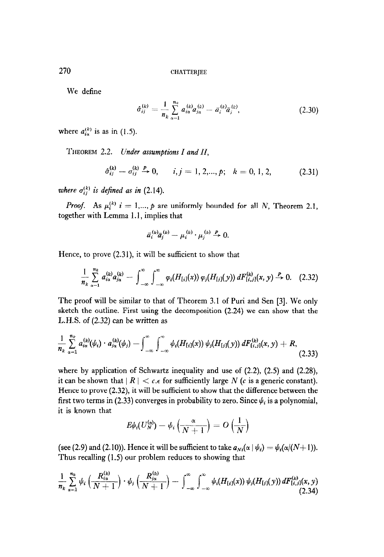We define

$$
\hat{\sigma}_{ij}^{(k)} = \frac{1}{n_k} \sum_{\alpha=1}^{n_k} a_{i\alpha}^{(k)} a_{j\alpha}^{(k)} - \bar{a}_i^{(k)} \tilde{a}_j^{(k)}, \qquad (2.30)
$$

where  $a_{i\alpha}^{(k)}$  is as in (1.5).

THEOREM 2.2. Under assumptions  $I$  and  $II$ ,

$$
\hat{\sigma}_{ij}^{(k)} - \sigma_{ij}^{(k)} \stackrel{P}{\rightarrow} 0, \qquad i, j = 1, 2, ..., p; \quad k = 0, 1, 2,
$$
 (2.31)

where  $\sigma_{ij}^{(k)}$  is defined as in (2.14).

*Proof.* As  $\mu_i^{(k)}$  i = 1,..., p are uniformly bounded for all N, Theorem 2.1, together with Lemma 1.1, implies that

$$
\bar{a}_i^{(k)}\bar{a}_j^{(k)} - \mu_i^{(k)}\cdot\mu_j^{(k)} \stackrel{P}{\to} 0.
$$

Hence, to prove (2.31), it will be sufficient to show that

$$
\frac{1}{n_k}\sum_{\alpha=1}^{n_k}a_{i\alpha}^{(k)}a_{j\alpha}^{(k)}-\int_{-\infty}^{\infty}\int_{-\infty}^{\infty}\varphi_i(H_{[i]}(x))\,\varphi_j(H_{[j]}(y))\,dF_{[i,j]}^{(k)}(x,y)\stackrel{P}{\to}0.\quad (2.32)
$$

The proof will be similar to that of Theorem 3.1 of Puri and Sen [3]. We only sketch the outline. First using the decomposition (2.24) we can show that the L.H.S. of (2.32) can be written as

$$
\frac{1}{n_k}\sum_{\alpha=1}^{n_k}a_{i\alpha}^{(k)}(\psi_i)\cdot a_{j\alpha}^{(k)}(\psi_j)-\int_{-\infty}^{\infty}\int_{-\infty}^{\infty}\psi_i(H_{[i]}(x))\,\psi_j(H_{[j]}(y))\,dF_{[i,j]}^{(k)}(x,y)+R,\tag{2.33}
$$

where by application of Schwartz inequality and use of (2.2), (2.5) and (2.28), it can be shown that  $|R| < c$ . for sufficiently large N (c is a generic constant).  $H = (2.32)$ , it will be sufficiently target that the sufficient to show that the difference between the difference between the difference between the difference between the difference between the difference between the dif first to probability, it will be sufficient to show that the unterlefted between the  $\frac{1}{2}$ first two terms in (2.33) converges in probability to zero. Since  $\psi_i$  is a polynomial, it is known that

$$
E\psi_i(U_N^{(\alpha)}) - \psi_i\left(\frac{\alpha}{N+1}\right) = O\left(\frac{1}{N}\right)
$$

(see (2.9) and (2.10)  $\frac{1}{2}$ . Hence it will be sufficient to take U,  $\frac{1}{2}$ (see (2.9) and (2.10)). Hence it will be summer to take  $a_{Ni}$ 

$$
\frac{1}{n_k}\sum_{\alpha=1}^{n_k}\psi_i\left(\frac{R_{i\alpha}^{(k)}}{N+1}\right)\cdot\psi_j\left(\frac{R_{j\alpha}^{(k)}}{N+1}\right)-\int_{-\infty}^{\infty}\int_{-\infty}^{\infty}\psi_i(H_{[i]}(x))\,\psi_j(H_{[j]}(y))\,dF_{[i,j]}^{(k)}(x,y) \tag{2.34}
$$

270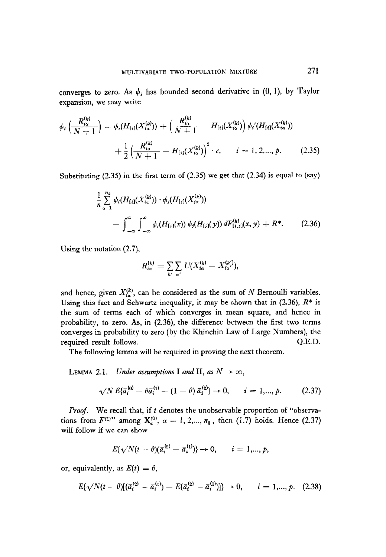converges to zero. As  $\psi_i$  has bounded second derivative in (0, 1), by Taylor expansion, we may write

$$
\psi_i\left(\frac{R_{i\alpha}^{(k)}}{N+1}\right) = \psi_i(H_{\{i\}}(X_{i\alpha}^{(k)})) + \left(\frac{R_{i\alpha}^{(k)}}{N+1} - H_{\{i\}}(X_{i\alpha}^{(k)})\right)\psi_i'(H_{\{i\}}(X_{i\alpha}^{(k)})) \n+ \frac{1}{2}\left(\frac{R_{i\alpha}^{(k)}}{N+1} - H_{\{i\}}(X_{i\alpha}^{(k)})\right)^2 \cdot c, \qquad i = 1, 2, ..., p. \tag{2.35}
$$

Substituting (2.35) in the first term of (2.35) we get that (2.34) is equal to (say)

$$
\frac{1}{n}\sum_{\alpha=1}^{n_k} \psi_i(H_{[i]}(X_{i\alpha}^{(k)})) \cdot \psi_j(H_{[j]}(X_{j\alpha}^{(k)})) \n- \int_{-\infty}^{\infty} \int_{-\infty}^{\infty} \psi_i(H_{[i]}(x)) \psi_j(H_{[j]}(y)) dF_{[i,j]}^{(k)}(x, y) + R^*.
$$
\n(2.36)

Using the notation (2.7),

$$
R_{i\alpha}^{(k)} = \sum_{k'} \sum_{\alpha'} U(X_{i\alpha}^{(k)} - X_{i\alpha'}^{(k')})
$$

and hence, given  $X_{i\alpha}^{(k)}$ , can be considered as the sum of N Bernoulli variables. Using this fact and Schwartz inequality, it may be shown that in  $(2.36)$ ,  $R^*$  is the sum of terms each of which converges in mean square, and hence in probability, to zero. As, in (2.36), the difference between the first two terms converges in probability to zero (by the Khinchin Law of Large Numbers), the required result follows.  $Q.E.D.$ 

The following lemma will be required in proving the next theorem.

LEMMA 2.1. Under assumptions I and II, as  $N \to \infty$ ,

$$
\sqrt{N} E\{\bar{a}_i^{(0)} - \theta \bar{a}_i^{(1)} - (1 - \theta) \bar{a}_i^{(2)}\} \to 0, \qquad i = 1, ..., p. \tag{2.37}
$$

Proof. We recall that, if t denotes the unobservable proportion of "observations from  $F^{(1)}$ " among  $\mathbf{X}_{\alpha}^{(0)}$ ,  $\alpha = 1, 2, ..., n_0$ , then (1.7) holds. Hence (2.37) will follow if we can show

$$
E{\{\sqrt{N}(t-\theta)(\bar{a}_i^{(2)}-\bar{a}_i^{(1)})\}} \to 0, \qquad i=1,...,p,
$$

or, equivalently, as  $E(t) = \theta$ ,

$$
E\{\sqrt{N}(t-\theta)[(\bar{a}_i^{(2)}-\bar{a}_i^{(1)})-E(\bar{a}_i^{(2)}-\bar{a}_i^{(1)})]\}\to 0, \qquad i=1,...,p. \quad (2.38)
$$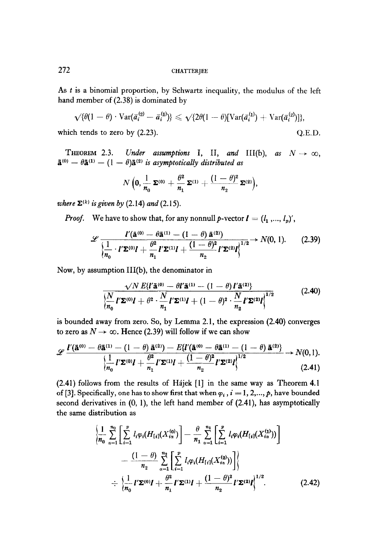As t is a binomial proportion, by Schwartz inequality, the modulus of the left hand member of (2.38) is dominated by

$$
\sqrt{\{\theta(1-\theta)\cdot \text{Var}(\bar{a}^{(2)}_i-\bar{a}^{(1)}_i)\}} \leqslant \sqrt{\{2\theta(1-\theta)[\text{Var}(\bar{a}^{(1)}_i)+\text{Var}(\bar{a}^{(2)}_i)]\}},
$$

which tends to zero by  $(2.23)$ .  $Q.E.D.$ 

THEOREM 2.3. Under assumptions I, II, and III(b), as  $N \to \infty$ ,  $\mathbf{\tilde{a}}^{(0)} - \theta \mathbf{\tilde{a}}^{(1)} - (1 - \theta)\mathbf{\tilde{a}}^{(2)}$  is asymptotically distributed as

$$
N\left(\mathbf{0}, \frac{1}{n_0}\,\mathbf{\Sigma}^{(0)} + \frac{\theta^2}{n_1}\,\mathbf{\Sigma}^{(1)} + \frac{(1-\theta)^2}{n_2}\,\mathbf{\Sigma}^{(2)}\right)\!,
$$

where  $\Sigma^{(k)}$  is given by (2.14) and (2.15).

*Proof.* We have to show that, for any nonnull p-vector  $\mathbf{l} = (l_1, ..., l_p)'$ ,

$$
\mathscr{L}\frac{I'(\mathbf{\tilde{a}}^{(0)}-\theta\mathbf{\tilde{a}}^{(1)}-(1-\theta)\mathbf{\tilde{a}}^{(2)})}{\left\{\frac{1}{n_0}\cdot I'\mathbf{\Sigma}^{(0)}I+\frac{\theta^2}{n_1}I'\mathbf{\Sigma}^{(1)}I+\frac{(1-\theta)^2}{n_2}I'\mathbf{\Sigma}^{(2)}I\right\}^{1/2}}\rightarrow N(0, 1).
$$
 (2.39)

Now, by assumption III(b), the denominator in

$$
\frac{\sqrt{N} E\{l'\mathbf{\tilde{a}}^{(0)} - \theta l'\mathbf{\tilde{a}}^{(1)} - (1-\theta) \, l'\mathbf{\tilde{a}}^{(2)}\}}{\left\{\frac{N}{n_0} \, l'\mathbf{\Sigma}^{(0)}l + \theta^2 \cdot \frac{N}{n_1} \, l'\mathbf{\Sigma}^{(1)}l + (1-\theta)^2 \cdot \frac{N}{n_2} \, l'\mathbf{\Sigma}^{(2)}l\right\}^{1/2}}
$$
(2.40)

is bounded away from zero. So, by Lemma 2.1, the expression (2.40) converges to zero as  $N \rightarrow \infty$ . Hence (2.39) will follow if we can show

$$
\mathscr{L}\frac{I'(\mathbf{\tilde{a}}^{(0)}-\theta\mathbf{\tilde{a}}^{(1)}-(1-\theta)\mathbf{\tilde{a}}^{(2)})-E\{I'(\mathbf{\tilde{a}}^{(0)}-\theta\mathbf{\tilde{a}}^{(1)}-(1-\theta)\mathbf{\tilde{a}}^{(2)}\}}{\left\{\frac{1}{n_0}I'\mathbf{\Sigma}^{(0)}I+\frac{\theta^2}{n_1}I'\mathbf{\Sigma}^{(1)}I+\frac{(1-\theta)^2}{n_2}I'\mathbf{\Sigma}^{(2)}I\right\}^{1/2}}\rightarrow N(0,1).
$$
\n(2.41)

(2.41) follows from the results of Hajek [I] in the same way as Theorem 4.1 of [3]. Specifically, one has to show first that when  $\varphi_i$ ,  $i = 1, 2, \ldots, p$ , have bounded second derivatives in (0, l), the left hand member of (2.41), has asymptotically the same distribution as

$$
\frac{\left\{\frac{1}{n_0} \sum_{\alpha=1}^{n_0} \left[ \sum_{i=1}^p l_i \varphi_i(H_{[i]}(X_{i\alpha}^{(0)}) \right] - \frac{\theta}{n_1} \sum_{\alpha=1}^{n_1} \left[ \sum_{i=1}^p l_i \varphi_i(H_{[i]}(X_{i\alpha}^{(1)})) \right] \right\}}{-\frac{(1-\theta)}{n_2} \sum_{\alpha=1}^{n_2} \left[ \sum_{i=1}^p l_i \varphi_i(H_{[i]}(X_{i\alpha}^{(2)}) \right]}\n+ \frac{\left\{\frac{1}{n_1} I' \Sigma^{(0)} I + \frac{\theta^2}{n_1} I' \Sigma^{(1)} I + \frac{(1-\theta)^2}{n_2} I' \Sigma^{(2)} I \right\}^{1/2}}{(2.42)}
$$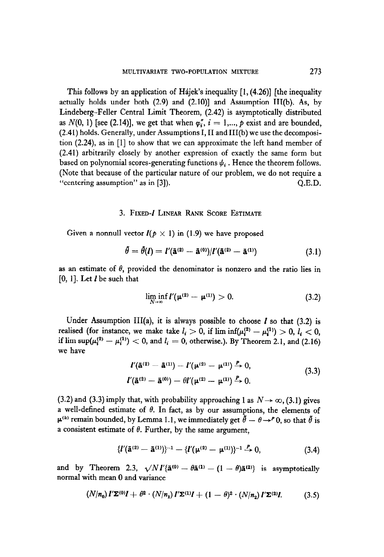This follows by an application of Hajek's inequality  $[1, (4.26)]$  [the inequality actually holds under both  $(2.9)$  and  $(2.10)$ ] and Assumption III(b). As, by Lindeberg-Feller Central Limit Theorem, (2.42) is asymptotically distributed as  $N(0, 1)$  [see (2.14)], we get that when  $\varphi''_i$ ,  $i = 1,..., p$  exist and are bounded, (2.41) holds. Generally, under Assumptions I, II and III(b) we use the decomposition (2.24) as in [l] to show that we can approximate the left hand member of (2.41) arbitrarily closely by another expression of exactly the same form but based on polynomial scores-generating functions  $\psi_i$ . Hence the theorem follows. (Note that because of the particular nature of our problem, we do not require a "centering assumption" as in [3]). Q.E.D.

#### 3. FIXED-I LINEAR RANK SCORE ESTIMATE

Given a nonnull vector  $I(p \times 1)$  in (1.9) we have proposed

$$
\hat{\theta} = \hat{\theta}(l) = I'(\bar{\mathbf{a}}^{(2)} - \bar{\mathbf{a}}^{(0)})/I'(\bar{\mathbf{a}}^{(2)} - \bar{\mathbf{a}}^{(1)})
$$
(3.1)

as an estimate of  $\theta$ , provided the denominator is nonzero and the ratio lies in  $[0, 1]$ . Let  $\boldsymbol{l}$  be such that

$$
\liminf_{N\to\infty} I'(\mu^{(2)} - \mu^{(1)}) > 0.
$$
 (3.2)

 $U_n$ der Assumption III(a), it is always possible to choose  $I_n$ cince isosuiption  $\text{Hil}(a_j)$ , it is always possible to choose t so that  $(3.2)$  is  $\sum_{i=1}^{n} \sum_{i=1}^{n} (n_i - 1)$  and limit  $\sum_{i=1}^{n} \sum_{i=1}^{n} (n_i - 1)$ . n mn su<sub>r</sub>

$$
l'(\bar{a}^{(2)} - \bar{a}^{(1)}) - l'(\mu^{(2)} - \mu^{(1)}) \xrightarrow{P} 0,
$$
  

$$
l'(\bar{a}^{(2)} - \bar{a}^{(0)}) - \theta l'(\mu^{(2)} - \mu^{(1)}) \xrightarrow{P} 0.
$$
 (3.3)

 $\overline{3}$  and (3.3) imply that, with probability approaching 1 as N\* 03, (3.1) gives a N\* 03, (3.1) gives a N\* 03, (3.1) gives a N\* 03, (3.1) gives a N\* 03, (3.1) gives a N\* 03, (3.1) gives a N\* 03, (3.1) gives a N\* 03, (3 (3.2) and (3.3) imply that, with probability approaching 1 as  $N \to \infty$ , (3.1) gives a well-defined estimate of  $\theta$ . In fact, as by our assumptions, the elements of  $\mu^{(k)}$  remain bounded, by Lemma 1.1, we immediately get  $\tilde{\theta} - \theta \rightarrow^P 0$ , so that  $\tilde{\theta}$  is a consistent estimate of  $\theta$ . Further, by the same argument,

$$
\{l'(\tilde{a}^{(2)}-\tilde{a}^{(1)})\}^{-1}-\{l'(\mu^{(2)}-\mu^{(1)})\}^{-1}\stackrel{P}{\to}0,\tag{3.4}
$$

and by Theorem 2.3,  $\sqrt{N}I'_{\{\bar{a}}^{(0)} - \theta \bar{a}^{(1)} - (1 - \theta) \bar{a}^{(2)}\}$  is asymptotically normal with mean 0 and variance

$$
(N/n_0) I'\mathbf{\Sigma}^{(0)}I + \theta^2 \cdot (N/n_1) I'\mathbf{\Sigma}^{(1)}I + (1-\theta)^2 \cdot (N/n_2) I'\mathbf{\Sigma}^{(2)}I.
$$
 (3.5)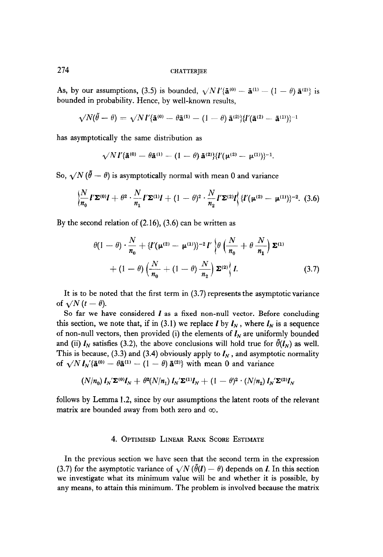As, by our assumptions, (3.5) is bounded,  $\sqrt{N}V'_{\mathbf{\bar{a}}^{(0)}} - \mathbf{\bar{a}}^{(1)} - (1 - \theta)\mathbf{\bar{a}}^{(2)}$  is bounded in probability. Hence, by well-known results,

$$
\sqrt{N}(\tilde{\theta}-\theta)=\sqrt{N}I' \{\tilde{\mathbf{a}}^{(0)}-\theta\tilde{\mathbf{a}}^{(1)}-(1-\theta)\,\tilde{\mathbf{a}}^{(2)}\}\{I'(\tilde{\mathbf{a}}^{(2)}-\tilde{\mathbf{a}}^{(1)})\}^{-1}
$$

has asymptotically the same distribution as

$$
\sqrt{N} I' \{ \mathbf{\tilde{a}}^{(0)} - \theta \mathbf{\tilde{a}}^{(1)} - (1 - \theta) \mathbf{\tilde{a}}^{(2)} \} \{ I'(\mu^{(2)} - \mu^{(1)}) \}^{-1}.
$$

So,  $\sqrt{N} (\tilde{\theta} - \theta)$  is asymptotically normal with mean 0 and variance

$$
\left\{\frac{N}{n_0}\,l'\,\mathbf{\Sigma}^{(0)}l + \theta^2\cdot\frac{N}{n_1}\,l'\,\mathbf{\Sigma}^{(1)}l + (1-\theta)^2\cdot\frac{N}{n_2}\,l'\,\mathbf{\Sigma}^{(2)}l\right\}\left\{l'(\mu^{(2)} - \mu^{(1)})\right\}^{-2}.\tag{3.6}
$$

By the second relation of (2.16), (3.6) can be written as

$$
\theta(1-\theta)\cdot\frac{N}{n_0} + \left\{I'(\mu^{(2)}-\mu^{(1)})\right\}^{-2}I'\left\{\theta\left(\frac{N}{n_0}+\theta\frac{N}{n_1}\right)\Sigma^{(1)}\right\}
$$

$$
+ (1-\theta)\left(\frac{N}{n_0} + (1-\theta)\frac{N}{n_2}\right)\Sigma^{(2)}\left\{I.\right\} \tag{3.7}
$$

It is to be noted that the first term in (3.7) represents the asymptotic variance of  $\sqrt{N} (t - \theta)$ .

So far we have considered  *as a fixed non-null vector. Before concluding* this section, we note that, if in (3.1) we replace *l* by  $I_N$ , where  $I_N$  is a sequence of non-null vectors, then provided (i) the elements of  $I<sub>N</sub>$  are uniformly bounded and (ii)  $I_N$  satisfies (3.2), the above conclusions will hold true for  $\tilde{\theta}(I_N)$  as well. This is because, (3.3) and (3.4) obviously apply to  $I_N$ , and asymptotic normality of  $\sqrt{N} I_N'$ { $\tilde{a}^{(0)} - \theta \tilde{a}^{(1)} - (1 - \theta) \tilde{a}^{(2)}$ } with mean 0 and variance

$$
\left(N/n_0\right)I_N^{\prime}\mathbf{\Sigma}^{(0)}I_N^{\phantom{\prime}}+\theta^2(N/n_1)\,I_N^{\prime}\mathbf{\Sigma}^{(1)}I_N^{\phantom{\prime}}+(1-\theta)^2\cdot\left(N/n_2\right)I_N^{\phantom{\prime}}\mathbf{\Sigma}^{(2)}I_N^{\phantom{\prime}}
$$

follows by Lemma 1.2, since by our assumptions the latent roots of the relevant matrix are bounded away from both zero and  $\infty$ .

# 4. OPTIMISED LINEAR RANK SCORE ESTIMATE

In the previous section we have seen that the second term in the expression (3.7) for the asymptotic variance of  $\sqrt{N}$  ( $\theta(I) - \theta$ ) depends on *l*. In this section we investigate what its minimum value will be and whether it is possible, by any means, to attain this minimum. The problem is involved because the matrix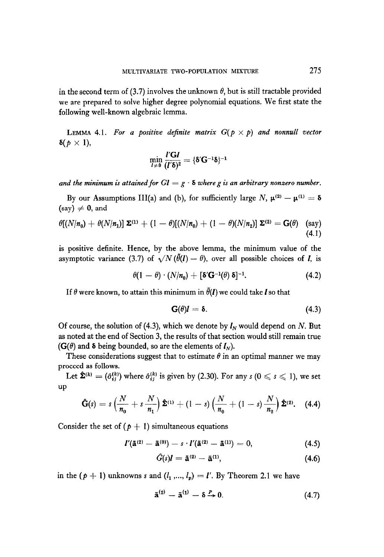in the second term of (3.7) involves the unknown  $\theta$ , but is still tractable provided we are prepared to solve higher degree polynomial equations. We first state the following well-known algebraic lemma.

LEMMA 4.1. For a positive definite matrix  $G(p \times p)$  and nonnull vector  $\delta(p \times 1)$ ,

$$
\min_{\boldsymbol{l}\neq \boldsymbol{0}}\frac{\boldsymbol{l}'\mathbf{G}\boldsymbol{l}}{(\boldsymbol{l}'\boldsymbol{\delta})^2}=\{\boldsymbol{\delta}'\mathbf{G}^{-1}\boldsymbol{\delta}\}^{-1}
$$

and the minimum is attained for  $Gl = g \cdot \delta$  where g is an arbitrary nonzero number.

By our Assumptions III(a) and (b), for sufficiently large N,  $\mu^{(2)} - \mu^{(1)} = \delta$  $(say) \neq 0$ , and

$$
\theta[(N/n_0) + \theta(N/n_1)] \Sigma^{(1)} + (1-\theta)[(N/n_0) + (1-\theta)(N/n_2)] \Sigma^{(2)} = G(\theta) \quad \text{(say)}
$$
\n(4.1)

is positive definite. Hence, by the above lemma, the minimum value of the asymptotic variance (3.7) of  $\sqrt{N}(\tilde{\theta}(l) - \theta)$ , over all possible choices of *I*, is

$$
\theta(1-\theta)\cdot(N/n_0)+[\delta'\mathbf{G}^{-1}(\theta)\,\delta]^{-1}.\tag{4.2}
$$

If  $\theta$  were known, to attain this minimum in  $\tilde{\theta}(l)$  we could take l so that

$$
\mathbf{G}(\theta)\mathbf{l} = \mathbf{\delta}.\tag{4.3}
$$

 $\overline{OC}$  course, the solution of (4.3), which we define by 1, would depend on N. But  $\overline{DC}$  $\alpha$  course, the solution of  $(4.5)$ , which we denote by  $\epsilon_N$  would depend on  $N$ . But as noted at the end of Section 3, the results of that section would still remain true  $(G(\theta))$  and  $\delta$  being bounded, so are the elements of  $I_N$ ).  $T(v)$  and  $\boldsymbol{v}$  being bounded, so are the elements of  $\boldsymbol{v}_N$ .

I nese considerat.

proceed as follows.<br>Let  $\hat{\Sigma}^{(k)} = (\hat{\sigma}_{ij}^{(k)})$  where  $\hat{\sigma}_{ij}^{(k)}$  is given by (2.30). For any  $s$  ( $0 \le s \le 1$ ), we set UP

$$
\hat{\mathbf{G}}(s) = s \left( \frac{N}{n_0} + s \frac{N}{n_1} \right) \hat{\mathbf{\Sigma}}^{(1)} + (1-s) \left( \frac{N}{n_0} + (1-s) \frac{N}{n_2} \right) \hat{\mathbf{\Sigma}}^{(2)}.
$$
 (4.4)

Consider the set of  $(p + 1)$  simultaneous equations

$$
I'(\bar{a}^{(2)}-\bar{a}^{(0)})-s\cdot I'(\bar{a}^{(2)}-\bar{a}^{(1)})=0,
$$
\n(4.5)

$$
\hat{G}(s)\mathbf{l} = \mathbf{\tilde{a}}^{(2)} - \mathbf{\tilde{a}}^{(1)},\tag{4.6}
$$

$$
\bar{\mathbf{a}}^{(2)} - \bar{\mathbf{a}}^{(1)} - \delta \xrightarrow{P} 0. \tag{4.7}
$$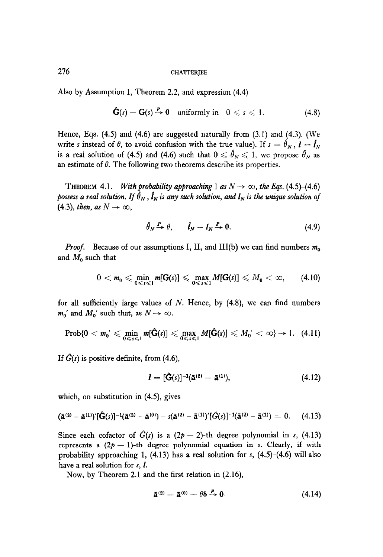Also by Assumption I, Theorem 2.2, and expression (4.4)

$$
\mathbf{\hat{G}}(s) - \mathbf{G}(s) \stackrel{P}{\rightarrow} 0 \quad \text{uniformly in} \quad 0 \leqslant s \leqslant 1. \tag{4.8}
$$

Hence, Eqs. (4.5) and (4.6) are suggested naturally from (3.1) and (4.3). (We write s instead of  $\theta$ , to avoid confusion with the true value). If  $s = \hat{\theta}_N$ ,  $l = \hat{l}_N$ is a real solution of (4.5) and (4.6) such that  $0 \le \hat{\theta}_N \le 1$ , we propose  $\hat{\theta}_N$  as an estimate of  $\theta$ . The following two theorems describe its properties.

THEOREM 4.1. With probability approaching 1 as  $N \rightarrow \infty$ , the Eqs. (4.5)–(4.6) possess a real solution. If  $\bar{\theta}_N$ ,  $\hat{\theta}_N$  is any such solution, and  $I_N$  is the unique solution of (4.3), then, as  $N \to \infty$ ,

$$
\hat{\theta}_N \xrightarrow{P} \theta, \qquad \hat{l}_N - l_N \xrightarrow{P} 0. \tag{4.9}
$$

**Proof.** Because of our assumptions I, II, and III(b) we can find numbers  $m_0$ and  $M_0$  such that

$$
0 < m_0 \leqslant \min_{0 \leqslant s \leqslant 1} m[\mathbf{G}(s)] \leqslant \max_{0 \leqslant s \leqslant 1} M[\mathbf{G}(s)] \leqslant M_0 < \infty, \qquad (4.10)
$$

for all sufficiently large values of  $N$ . Hence, by  $(4.8)$ , we can find numbers  $m_0'$  and  $M_0'$  such that, as  $N \to \infty$ .

$$
\mathrm{Prob}\{0 < m_0' \leqslant \min_{0 \leqslant s \leqslant 1} m[\hat{\mathbf{G}}(s)] \leqslant \max_{0 \leqslant s \leqslant 1} M[\hat{\mathbf{G}}(s)] \leqslant M_0' < \infty\} \rightarrow 1. \quad (4.11)
$$

If  $\hat{G}(s)$  is positive definite, from (4.6),

$$
l = [\hat{G}(s)]^{-1}(\tilde{a}^{(2)} - \tilde{a}^{(1)}), \qquad (4.12)
$$

which, on substitution in  $(4.5)$ , gives

$$
(\mathbf{\tilde{a}}^{(2)} - \mathbf{\tilde{a}}^{(1)})' [\mathbf{\hat{G}}(s)]^{-1} (\mathbf{\tilde{a}}^{(2)} - \mathbf{\tilde{a}}^{(0)}) - s(\mathbf{\tilde{a}}^{(2)} - \mathbf{\tilde{a}}^{(1)})' [\hat{G}(s)]^{-1} (\mathbf{\tilde{a}}^{(2)} - \mathbf{\tilde{a}}^{(1)}) = 0. \quad (4.13)
$$

 $\mathcal{L}$ Since each cotactor of  $G(s)$  is a  $(2p - 2)$ -th degree polynomial in s, (4.13) represents a  $(2p - 1)$ -th degree polynomial equation in s. Clearly, if with probability approaching 1, (4.13) has a real solution for s,  $(4.5)$ - $(4.6)$  will also have a real solution for  $s$ ,  $l$ .<br>Now, by Theorem 2.1 and the first relation in (2.16),

$$
\bar{\mathbf{a}}^{(2)} = \bar{\mathbf{a}}^{(0)} = \theta \delta \xrightarrow{P} 0 \tag{4.14}
$$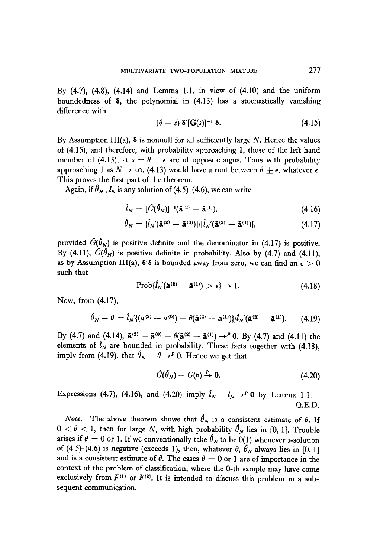By  $(4.7)$ ,  $(4.8)$ ,  $(4.14)$  and Lemma 1.1, in view of  $(4.10)$  and the uniform boundedness of  $\delta$ , the polynomial in  $(4.13)$  has a stochastically vanishing difference with

$$
(\theta - s) \delta' [\mathbf{G}(s)]^{-1} \delta. \tag{4.15}
$$

By Assumption III(a),  $\delta$  is nonnull for all sufficiently large N. Hence the values of (4.15) and therefore, with probability approaching 1, those of the left hand member of (4.13), at  $s = \theta \pm \epsilon$  are of opposite signs. Thus with probability approaching 1 as  $N \to \infty$ , (4.13) would have a root between  $\theta \pm \epsilon$ , whatever  $\epsilon$ . This proves the first part of the theorem.

Again, if  $\hat{\theta}_N$ ,  $I_N$  is any solution of (4.5)-(4.6), we can write

$$
\hat{l}_N = [\hat{G}(\hat{\theta}_N)]^{-1}(\tilde{\mathbf{a}}^{(2)} - \tilde{\mathbf{a}}^{(1)}), \tag{4.16}
$$

$$
\hat{\theta}_N = [\hat{l}_{N'}(\mathbf{\tilde{a}}^{(2)} - \mathbf{\tilde{a}}^{(0)})]/[\hat{l}_{N'}(\mathbf{\tilde{a}}^{(2)} - \mathbf{\tilde{a}}^{(1)})], \qquad (4.17)
$$

provided  $\hat{G}(\hat{\theta}_N)$  is positive definite and the denominator in (4.17) is positive. By (4.11),  $\hat{G}(\hat{\theta}_N)$  is positive definite in probability. Also by (4.7) and (4.11), as by Assumption III(a),  $\delta' \delta$  is bounded away from zero, we can find an  $\epsilon > 0$ such that

$$
Prob{\hat{I}_N(\tilde{\mathbf{a}}^{(2)} - \tilde{\mathbf{a}}^{(1)}) > \epsilon} \to 1. \tag{4.18}
$$

Now, from (4.17),

$$
\theta_N - \theta = l_{N'} \langle (\bar{a}^{(2)} - \bar{a}^{(0)}) - \theta (\tilde{\mathbf{a}}^{(2)} - \bar{\mathbf{a}}^{(1)}) \rangle / l_{N'} (\tilde{\mathbf{a}}^{(2)} - \bar{\mathbf{a}}^{(1)}).
$$
 (4.19)

By (4.7) and (4.14),  $\bar{a}^{(2)} - \bar{a}^{(0)} - \theta(\bar{a}^{(2)} - \bar{a}^{(1)}) \rightarrow^{p} 0$ . By (4.7) and (4.11) the elements of  $l_N$  are bounded in probability. These facts together with (4.18), imply from (4.19), that  $\hat{\theta}_N - \theta \rightarrow^P 0$ . Hence we get that

$$
\hat{G}(\hat{\theta}_N) - G(\theta) \xrightarrow{P} \mathbf{0}.\tag{4.20}
$$

Expressions (4.7), (4.16), and (4.20) imply  $\hat{l}_N - l_N \rightarrow^P 0$  by Lemma 1.1. Q.E.D.

*Note.* The above theorem shows that  $\hat{\theta}_N$  is a consistent estimate of  $\theta$ . If  $0 < \theta < 1$ , then for large N, with high probability  $\hat{\theta}_N$  lies in [0, 1]. Trouble arises if  $\theta = 0$  or 1. If we conventionally take  $\hat{\theta}_N$  to be 0(1) whenever s-solution of (4.5)–(4.6) is negative (exceeds 1), then, whatever  $\theta$ ,  $\hat{\theta}_N$  always lies in [0, 1] and is a consistent estimate of  $\theta$ . The cases  $\theta = 0$  or 1 are of importance in the context of the problem of classification, where the 0-th sample may have come exclusively from  $F^{(1)}$  or  $F^{(2)}$ . It is intended to discuss this problem in a subsequent communication.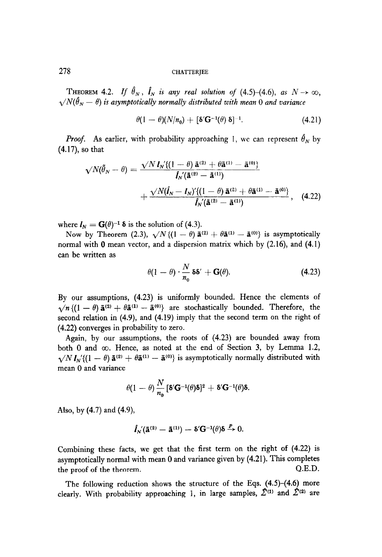THEOREM 4.2. If  $\hat{\theta}_N$ ,  $\hat{\mathbf{l}}_N$  is any real solution of (4.5)-(4.6), as  $N \to \infty$ ,  $\sqrt{N(\hat{\theta}_N-\theta)}$  is asymptotically normally distributed with mean 0 and variance

$$
\theta(1-\theta)(N/n_0)+[\delta'\mathbf{G}^{-1}(\theta)\,\delta]^{-1}.\tag{4.21}
$$

**Proof.** As earlier, with probability approaching 1, we can represent  $\hat{\theta}_N$  by (4.17), so that

$$
\sqrt{N}(\tilde{\theta}_{N} - \theta) = \frac{\sqrt{N} I_{N}^{'} \{ (1 - \theta) \, \tilde{\mathbf{a}}^{(2)} + \theta \tilde{\mathbf{a}}^{(1)} - \tilde{\mathbf{a}}^{(0)} \}}{I_{N}^{'} (\tilde{\mathbf{a}}^{(2)} - \tilde{\mathbf{a}}^{(1)})} + \frac{\sqrt{N} (\hat{\mathbf{I}}_{N} - \mathbf{I}_{N})^{'} \{ (1 - \theta) \, \tilde{\mathbf{a}}^{(2)} + \theta \tilde{\mathbf{a}}^{(1)} - \tilde{\mathbf{a}}^{(0)} \}}{\hat{\mathbf{I}}_{N}^{'} (\tilde{\mathbf{a}}^{(2)} - \tilde{\mathbf{a}}^{(1)})}, \quad (4.22)
$$

where  $I_N = G(\theta)^{-1} \delta$  is the solution of (4.3).

Now by Theorem (2.3),  $\sqrt{N} \{ (1 - \theta) \bar{a}^{(2)} + \theta \bar{a}^{(1)} - \bar{a}^{(0)} \}$  is asymptotically normal with  $\theta$  mean vector, and a dispersion matrix which by (2.16), and (4.1) can be written as

$$
\theta(1-\theta)\cdot\frac{N}{n_0}\delta\delta'+\mathbf{G}(\theta). \tag{4.23}
$$

By our assumptions, (4.23) is uniformly bounded. Hence the elements of  $\sqrt{n}$  { $(1 - \theta)$   $\tilde{a}^{(2)} + \theta \tilde{a}^{(1)} - \tilde{a}^{(0)}$ } are stochastically bounded. Therefore, the second relation in (4.9), and (4.19) imply that the second term on the right of (4.22) converges in probability to zero.

Again, by our assumptions, the roots of (4.23) are bounded away from  $\sum_{i=1}^{\infty}$  and co. Hence, as noted at the end of  $S_{\text{cubic}}$ , 3, by Lemma 1.2, both  $\sigma$  and  $\infty$ . Hence, as noted at the end of section  $\sigma$ , by Lemma 1.2,  $\sqrt{N} I_N$ '{(1 -  $\theta$ )  $\tilde{\mathbf{a}}^{(2)} + \theta \tilde{\mathbf{a}}^{(1)} - \tilde{\mathbf{a}}^{(0)}$ } is asymptotically normally distributed with mean 0 and variance

$$
\theta(1-\theta)\frac{N}{n_0}\left[\delta'\mathbf{G}^{-1}(\theta)\delta\right]^2+\delta'\mathbf{G}^{-1}(\theta)\delta.
$$

Also, by (4.7) and (4.9)

$$
\hat{\mathbf{I}}_{N}(\tilde{\mathbf{a}}^{(2)}-\tilde{\mathbf{a}}^{(1)})-\delta'\mathbf{G}^{-1}(\theta)\delta \xrightarrow{P} 0.
$$

 $\mathcal{L}(\mathcal{L}(\mathcal{L}(\mathcal{L}(\mathcal{L}(\mathcal{L}(\mathcal{L}(\mathcal{L}(\mathcal{L}(\mathcal{L}(\mathcal{L}(\mathcal{L}(\mathcal{L}(\mathcal{L}(\mathcal{L}(\mathcal{L}(\mathcal{L}(\mathcal{L}(\mathcal{L}(\mathcal{L}(\mathcal{L}(\mathcal{L}(\mathcal{L}(\mathcal{L}(\mathcal{L}(\mathcal{L}(\mathcal{L}(\mathcal{L}(\mathcal{L}(\mathcal{L}(\mathcal{L}(\mathcal{L}(\mathcal{L}(\mathcal{L}(\mathcal{L}(\mathcal{L}(\mathcal{$ Combining these facts, we get that the first term on the right of  $(4.22)$  is asymptotically normal with mean  $0$  and variance given by  $(4.21)$ . This completes the proof of the theorem.  $O.E.D.$ The following reduction shows the structure of the structure of the  $\mathcal{A}$ 

The following reduction shows the structure of the Eqs.  $(4.5)$ – $(4.6)$  more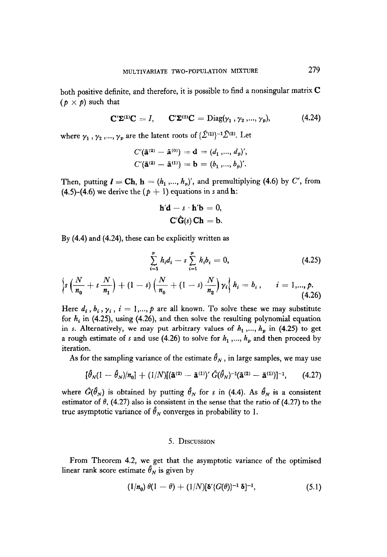both positive definite, and therefore, it is possible to find a nonsingular matrix C  $(p \times p)$  such that

$$
\mathbf{C}'\mathbf{\Sigma}^{(1)}\mathbf{C} = I, \quad \mathbf{C}'\mathbf{\Sigma}^{(2)}\mathbf{C} = \text{Diag}(\gamma_1, \gamma_2, ..., \gamma_p), \quad (4.24)
$$

where  $\gamma_1$ ,  $\gamma_2$ ,...,  $\gamma_p$  are the latent roots of  $\{\hat{\mathcal{L}}^{(1)}\}^{-1}\hat{\mathcal{L}}^{(2)}$ . Let

$$
C'(\tilde{\mathbf{a}}^{(2)} - \tilde{\mathbf{a}}^{(0)}) = \mathbf{d} = (d_1, ..., d_p)',
$$
  

$$
C'(\tilde{\mathbf{a}}^{(2)} - \tilde{\mathbf{a}}^{(1)}) = \mathbf{b} = (b_1, ..., b_p)'
$$

Then, putting  $I = Ch$ ,  $h = (h_1, ..., h_n)'$ , and premultiplying (4.6) by C', from (4.5)–(4.6) we derive the  $(p + 1)$  equations in s and **h**:

$$
\mathbf{h}'\mathbf{d} - s \cdot \mathbf{h}'\mathbf{b} = 0,
$$

$$
\mathbf{C}'\hat{\mathbf{G}}(s)\mathbf{C}\mathbf{h} = \mathbf{b}.
$$

By  $(4.4)$  and  $(4.24)$ , these can be explicitly written as

$$
\sum_{i=1}^{p} h_i d_i - s \sum_{i=1}^{p} h_i b_i = 0,
$$
\n(4.25)\n
$$
\left\{ s \left( \frac{N}{n_0} + s \frac{N}{n_1} \right) + (1 - s) \left( \frac{N}{n_0} + (1 - s) \frac{N}{n_2} \right) \gamma_i \right\} h_i = b_i, \quad i = 1, ..., p.
$$
\n(4.26)

Here  $d_i$ ,  $b_i$ ,  $\gamma_i$ ,  $i = 1,..., p$  are all known. To solve these we may substitute for  $h_i$  in (4.25), using (4.26), and then solve the resulting polynomial equation in s. Alternatively, we may put arbitrary values of  $h_1, ..., h_p$  in (4.25) to get a rough estimate of s and use (4.26) to solve for  $h_1, ..., h_p$  and then proceed by iteration.

As for the sampling variance of the estimate  $\hat{\theta}_N$ , in large samples, we may use

$$
[\hat{\theta}_N(1-\hat{\theta}_N)/n_0] + (1/N)[(\mathbf{\tilde{a}}^{(2)} - \mathbf{\tilde{a}}^{(1)})' \hat{G}(\hat{\theta}_N)^{-1}(\mathbf{\tilde{a}}^{(2)} - \mathbf{\tilde{a}}^{(1)})]^{-1}, \qquad (4.27)
$$

where  $\hat{G}(\hat{\theta}_N)$  is obtained by putting  $\hat{\theta}_N$  for s in (4.4). As  $\hat{\theta}_N$  is a consistent estimator of  $\theta$ , (4.27) also is consistent in the sense that the ratio of (4.27) to the true asymptotic variance of  $\hat{\theta}_N$  converges in probability to 1.

### 5. DISCUSSION

From Theorem 4.2, we get that the asymptotic variance of the optimised linear rank score estimate  $\hat{\theta}_N$  is given by

$$
(1/n_0) \ \theta(1-\theta) + (1/N)[\delta'\{G(\theta)\}^{-1} \ \delta]^{-1}, \tag{5.1}
$$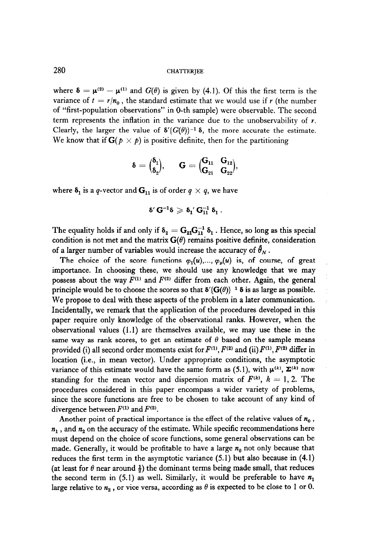where  $\delta = \mu^{(2)} - \mu^{(1)}$  and  $G(\theta)$  is given by (4.1). Of this the first term is the variance of  $t = r/n_0$ , the standard estimate that we would use if r (the number of "first-population observations" in 0-th sample) were observable. The second term represents the inflation in the variance due to the unobservability of  $r$ . Clearly, the larger the value of  $\delta'(G(\theta))^{-1} \delta$ , the more accurate the estimate. We know that if  $G(p \times p)$  is positive definite, then for the partitioning

$$
\boldsymbol{\delta} = \bigl( \begin{matrix} \boldsymbol{\delta}_1 \\ \boldsymbol{\delta}_2 \end{matrix} \bigr), \quad \mathbf{G} = \bigl( \begin{matrix} \mathbf{G}_{11} & \mathbf{G}_{12} \\ \mathbf{G}_{21} & \mathbf{G}_{22} \end{matrix} \bigr),
$$

where  $\delta_1$  is a q-vector and  $G_{11}$  is of order  $q \times q$ , we have

$$
\delta'\,G^{-1}\delta\geqslant \delta_1'\,G_{11}^{-1}\,\delta_1\,.
$$

The equality holds if and only if  $\delta_2 = G_{21}G_{11}^{-1} \delta_1$ . Hence, so long as this special condition is not met and the matrix  $G(\theta)$  remains positive definite, consideration of a larger number of variables would increase the accuracy of  $\hat{\theta}_N$ .

The choice of the score functions  $\varphi_1(u),...,\varphi_n(u)$  is, of course, of great importance. In choosing these, we should use any knowledge that we may possess about the way  $F^{(1)}$  and  $F^{(2)}$  differ from each other. Again, the general principle would be to choose the scores so that  $\delta'(G(\theta))^{-1} \delta$  is as large as possible. We propose to deal with these aspects of the problem in a later communication. Incidentally, we remark that the application of the procedures developed in this paper require only knowledge of the observational ranks. However, when the observational values (1.1) are themselves available, we may use these in the same way as rank scores, to get an estimate of  $\theta$  based on the sample means provided (i) all second order moments exist for  $F^{(1)}$ ,  $F^{(2)}$  and (ii)  $F^{(1)}$ ,  $F^{(2)}$  differ in location (i.e., in mean vector). Under appropriate conditions, the asymptotic variance of this estimate would have the same form as (5.1), with  $\mu^{(k)}$ ,  $\Sigma^{(k)}$  now standing for the mean vector and dispersion matrix of  $F^{(k)}$ ,  $k = 1, 2$ . The procedures considered in this paper encompass a wider variety of problems, since the score functions are free to be chosen to take account of any kind of divergence between  $F^{(1)}$  and  $F^{(2)}$ .

Another point of practical importance is the effect of the relative values of  $n_0$ ,  $n_1$ , and  $n_2$  on the accuracy of the estimate. While specific recommendations here must depend on the choice of score functions, some general observations can be made. Generally, it would be profitable to have a large  $n_0$  not only because that reduces the first term in the asymptotic variance (5.1) but also because in (4.1) (at least for  $\theta$  near around  $\frac{1}{2}$ ) the dominant terms being made small, that reduces the second term in (5.1) as well. Similarly, it would be preferable to have  $n_1$ large relative to  $n_2$ , or vice versa, according as  $\theta$  is expected to be close to 1 or 0.